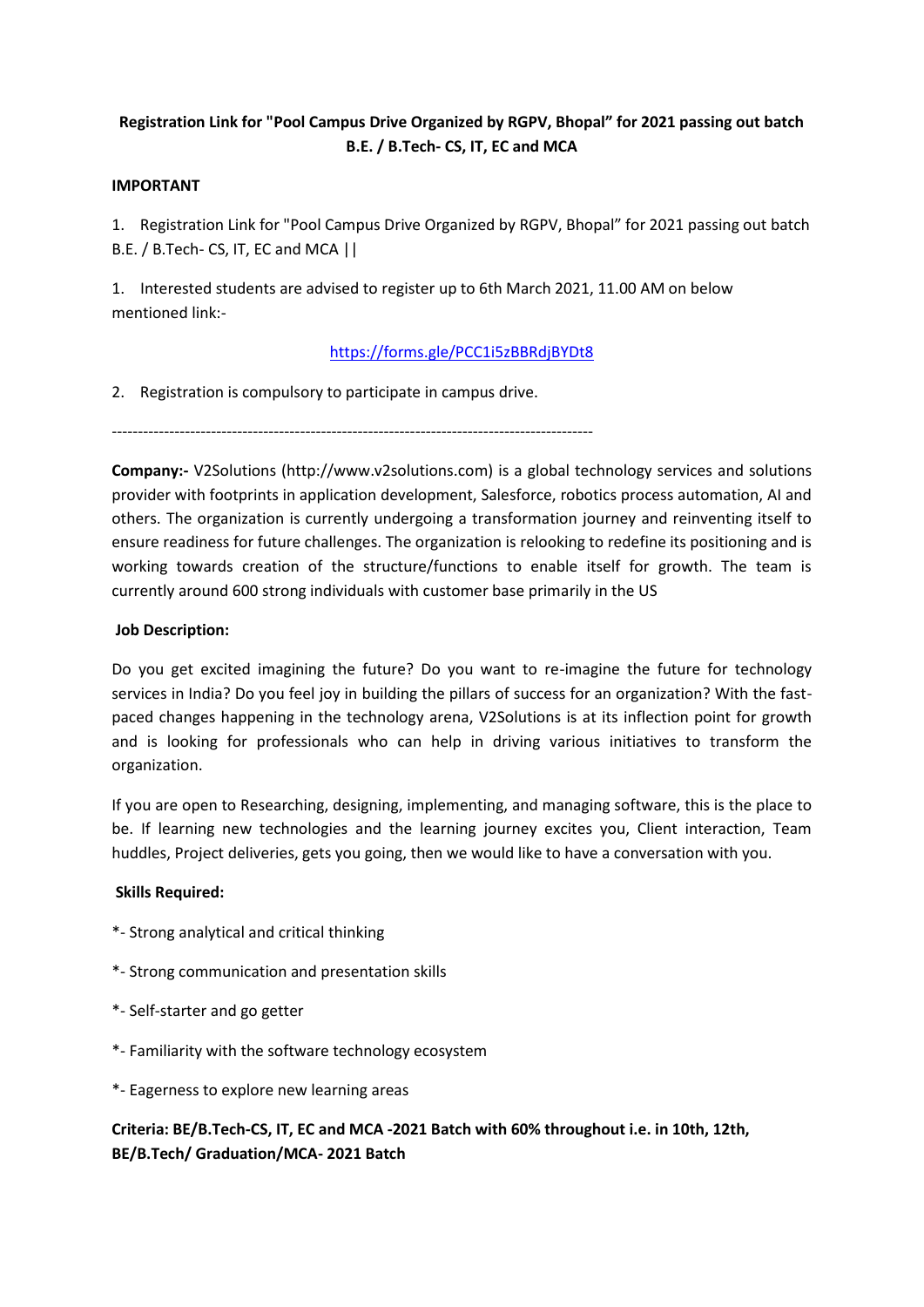# **Registration Link for "Pool Campus Drive Organized by RGPV, Bhopal" for 2021 passing out batch B.E. / B.Tech- CS, IT, EC and MCA**

### **IMPORTANT**

1. Registration Link for "Pool Campus Drive Organized by RGPV, Bhopal" for 2021 passing out batch B.E. / B.Tech- CS, IT, EC and MCA ||

1. Interested students are advised to register up to 6th March 2021, 11.00 AM on below mentioned link:-

## https://forms.gle/PCC1i5zBBRdjBYDt8

2. Registration is compulsory to participate in campus drive.

--------------------------------------------------------------------------------------------

**Company:-** V2Solutions (http://www.v2solutions.com) is a global technology services and solutions provider with footprints in application development, Salesforce, robotics process automation, AI and others. The organization is currently undergoing a transformation journey and reinventing itself to ensure readiness for future challenges. The organization is relooking to redefine its positioning and is working towards creation of the structure/functions to enable itself for growth. The team is currently around 600 strong individuals with customer base primarily in the US

### **Job Description:**

Do you get excited imagining the future? Do you want to re-imagine the future for technology services in India? Do you feel joy in building the pillars of success for an organization? With the fast paced changes happening in the technology arena, V2Solutions is at its inflection point for growth and is looking for professionals who can help in driving various initiatives to transform the organization.

If you are open to Researching, designing, implementing, and managing software, this is the place to be. If learning new technologies and the learning journey excites you, Client interaction, Team huddles, Project deliveries, gets you going, then we would like to have a conversation with you.

#### **Skills Required:**

- \*- Strong analytical and critical thinking
- \*- Strong communication and presentation skills
- \*- Self-starter and go getter
- \*- Familiarity with the software technology ecosystem
- \*- Eagerness to explore new learning areas

## **Criteria: BE/B.Tech-CS, IT, EC and MCA -2021 Batch with 60% throughout i.e. in 10th, 12th, BE/B.Tech/ Graduation/MCA- 2021 Batch**